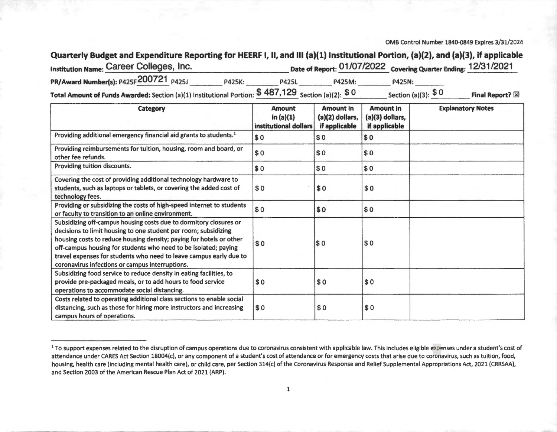#### 0MB Control Number 1840-0849 Expires 3/31/2024

# Quarterly Budget and Expenditure Reporting for HEERF I, II, and III (a)(1) Institutional Portion, (a)(2), and (a)(3), if applicable

| <b>Institution Name: Career Colleges, Inc.</b> |               |              |               | Date of Report: 01/07/2022 Covering Quarter Ending: 12/31/2021 |  |
|------------------------------------------------|---------------|--------------|---------------|----------------------------------------------------------------|--|
| PR/Award Number(s): P425F200721 P425J          | <b>P425K:</b> | <b>P425L</b> | <b>P425M:</b> | <b>P425N:</b>                                                  |  |
|                                                |               | 0.107100     |               |                                                                |  |

**Total Amount of Funds Awarded:** Section (a)(l) Institutional Portion:\$ **487,129** Section (a)(2): \$ **0** Section (a)(3): \$ 0 **Final Report?~** 

| Category                                                                                                                                                                                                                                                                                                                                                                                                | <b>Amount</b><br>in $(a)(1)$<br>institutional dollars | <b>Amount in</b><br>(a)(2) dollars,<br>if applicable | <b>Amount in</b><br>(a)(3) dollars,<br>if applicable | <b>Explanatory Notes</b> |
|---------------------------------------------------------------------------------------------------------------------------------------------------------------------------------------------------------------------------------------------------------------------------------------------------------------------------------------------------------------------------------------------------------|-------------------------------------------------------|------------------------------------------------------|------------------------------------------------------|--------------------------|
| Providing additional emergency financial aid grants to students. <sup>1</sup>                                                                                                                                                                                                                                                                                                                           | \$0                                                   | \$0                                                  | \$0                                                  |                          |
| Providing reimbursements for tuition, housing, room and board, or<br>other fee refunds.                                                                                                                                                                                                                                                                                                                 | \$0                                                   | \$0                                                  | \$0                                                  |                          |
| Providing tuition discounts.                                                                                                                                                                                                                                                                                                                                                                            | \$0                                                   | \$0                                                  | \$0                                                  |                          |
| Covering the cost of providing additional technology hardware to<br>students, such as laptops or tablets, or covering the added cost of<br>technology fees.                                                                                                                                                                                                                                             | \$0                                                   | \$0                                                  | \$0                                                  |                          |
| Providing or subsidizing the costs of high-speed internet to students<br>or faculty to transition to an online environment.                                                                                                                                                                                                                                                                             | \$0                                                   | \$0                                                  | \$0                                                  |                          |
| Subsidizing off-campus housing costs due to dormitory closures or<br>decisions to limit housing to one student per room; subsidizing<br>housing costs to reduce housing density; paying for hotels or other<br>off-campus housing for students who need to be isolated; paying<br>travel expenses for students who need to leave campus early due to<br>coronavirus infections or campus interruptions. | \$0                                                   | \$0                                                  | \$0                                                  |                          |
| Subsidizing food service to reduce density in eating facilities, to<br>provide pre-packaged meals, or to add hours to food service<br>operations to accommodate social distancing.                                                                                                                                                                                                                      | \$0                                                   | \$0                                                  | \$0                                                  |                          |
| Costs related to operating additional class sections to enable social<br>distancing, such as those for hiring more instructors and increasing<br>campus hours of operations.                                                                                                                                                                                                                            | \$0                                                   | \$0                                                  | \$0                                                  |                          |

<sup>&</sup>lt;sup>1</sup> To support expenses related to the disruption of campus operations due to coronavirus consistent with applicable law. This includes eligible expenses under a student's cost of attendance under CARES Act Section 18004(c), or any component of a student's cost of attendance or for emergency costs that arise due to coronavirus, such as tuition, food, housing, health care (including mental health care), or child care, per Section 314(c) of the Coronavirus Response and Relief Supplemental Appropriations Act, 2021 (CRRSAA), and Section 2003 of the American Rescue Plan Act of 2021 (ARP).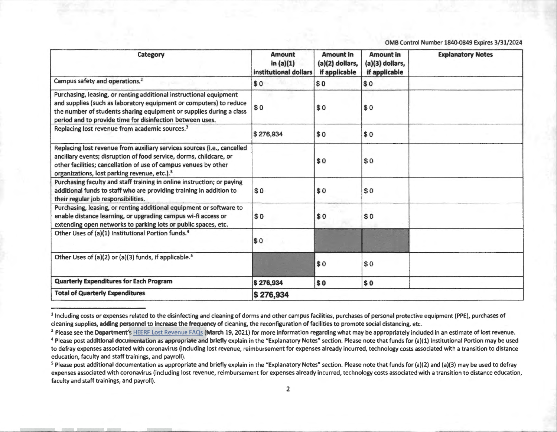0MB Control Number 1840-0849 Expires 3/31/2024

| Category                                                                                                                                                                                                                                                                     | <b>Amount</b><br>in $(a)(1)$<br>institutional dollars | <b>Amount in</b><br>(a)(2) dollars,<br>if applicable | <b>Amount in</b><br>(a)(3) dollars,<br>if applicable | <b>Explanatory Notes</b> |
|------------------------------------------------------------------------------------------------------------------------------------------------------------------------------------------------------------------------------------------------------------------------------|-------------------------------------------------------|------------------------------------------------------|------------------------------------------------------|--------------------------|
| Campus safety and operations. <sup>2</sup>                                                                                                                                                                                                                                   | \$0                                                   | \$0                                                  | \$0                                                  |                          |
| Purchasing, leasing, or renting additional instructional equipment<br>and supplies (such as laboratory equipment or computers) to reduce<br>the number of students sharing equipment or supplies during a class<br>period and to provide time for disinfection between uses. | \$0                                                   | \$0                                                  | \$0                                                  |                          |
| Replacing lost revenue from academic sources. <sup>3</sup>                                                                                                                                                                                                                   | \$276,934                                             | \$0                                                  | \$0                                                  |                          |
| Replacing lost revenue from auxiliary services sources (i.e., cancelled<br>ancillary events; disruption of food service, dorms, childcare, or<br>other facilities; cancellation of use of campus venues by other<br>organizations, lost parking revenue, etc.). <sup>3</sup> |                                                       | \$0                                                  | \$0                                                  |                          |
| Purchasing faculty and staff training in online instruction; or paying<br>additional funds to staff who are providing training in addition to<br>their regular job responsibilities.                                                                                         | \$0                                                   | \$0                                                  | \$0                                                  |                          |
| Purchasing, leasing, or renting additional equipment or software to<br>enable distance learning, or upgrading campus wi-fi access or<br>extending open networks to parking lots or public spaces, etc.                                                                       | \$0                                                   | \$0                                                  | \$0                                                  |                          |
| Other Uses of (a)(1) Institutional Portion funds. <sup>4</sup>                                                                                                                                                                                                               | $\vert$ \$0                                           |                                                      |                                                      |                          |
| Other Uses of (a)(2) or (a)(3) funds, if applicable. <sup>5</sup>                                                                                                                                                                                                            |                                                       | \$0                                                  | \$0                                                  |                          |
| <b>Quarterly Expenditures for Each Program</b>                                                                                                                                                                                                                               | \$276,934                                             | $\boldsymbol{\mathsf{s}}$ o                          | \$0                                                  |                          |
| <b>Total of Quarterly Expenditures</b><br>\$276,934                                                                                                                                                                                                                          |                                                       |                                                      |                                                      |                          |

<sup>&</sup>lt;sup>2</sup> Including costs or expenses related to the disinfecting and cleaning of dorms and other campus facilities, purchases of personal protective equipment (PPE), purchases of cleaning supplies, adding personnel to increase the frequency of cleaning, the reconfiguration of facilities to promote social distancing, etc.

<sup>&</sup>lt;sup>3</sup> Please see the Department's HEERF Lost Revenue FAQs (March 19, 2021) for more information regarding what may be appropriately included in an estimate of lost revenue.

<sup>&</sup>lt;sup>4</sup> Please post additional documentation as appropriate and briefly explain in the "Explanatory Notes" section. Please note that funds for (a)(1) Institutional Portion may be used to defray expenses associated with coronavirus (including lost revenue, reimbursement for expenses already incurred, technology costs associated with a transition to distance education, faculty and staff trainings, and payroll).

<sup>5</sup> Please post additional documentation as appropriate and briefly explain in the "Explanatory Notes" section. Please note that funds for (a)(2) and (a)(3) may be used to defray expenses associated with coronavirus (including lost revenue, reimbursement for expenses already incurred, technology costs associated with a transition to distance education, faculty and staff trainings, and payroll).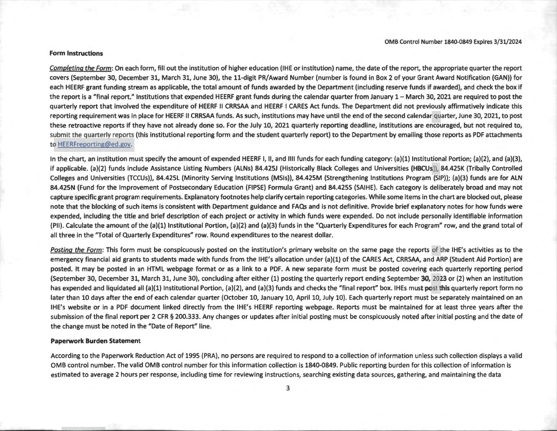#### **Form Instructions**

Completing the Form: On each form, fill out the institution of higher education {IHE or institution) name, the date of the report, the appropriate quarter the report covers (September 30, December 31, March 31, June 30), the 11-digit PR/Award Number (number is found in Box 2 of your Grant Award Notification (GAN)) for each HEERF grant funding stream as applicable, the total amount of funds awarded by the Department (including reserve funds if awarded), and check the box if the report is a "final report." Institutions that expended HEERF grant funds during the calendar quarter from January 1- March 30, 2021 are required to post the quarterly report that involved the expenditure of HEERF II CRRSAA and HEERF I CARES Act funds. The Department did not previously affirmatively indicate this reporting requirement was in place for HEERF II CRRSAA funds. As such, institutions may have until the end of the second calendar quarter, June 30, 2021, to post these retroactive reports if they have not already done so. For the July 10, 2021 quarterly reporting deadline, institutions are encouraged, but not required to, submit the quarterly reports (this institutional reporting form and the student quarterly report) to the Department by emailing those reports as PDF attachments to HEERFreporting@ed.gov.

In the chart, an institution must specify the amount of expended HEERF I, II, and IIII funds for each funding category: (a)(1) Institutional Portion; (a)(2), and (a)(3), if applicable. (a)(2) funds include Assistance Listing Numbers (ALNs) 84.425J (Historically Black Colleges and Universities (HBCUs)), 84.425K (Tribally Controlled Colleges and Universities (TCCUs)), 84.425L (Minority Serving Institutions (MSls)), 84.425M (Strengthening Institutions Program (SIP)); (a)(3) funds are for ALN 84.425N (Fund for the Improvement of Postsecondary Education (FIPSE) Formula Grant) and 84.425S (SAIHE). Each category is deliberately broad and may not capture specific grant program requirements. Explanatory footnotes help clarify certain reporting categories. While some items in the chart are blocked out, please note that the blocking of such items is consistent with Department guidance and FAQs and is not definitive. Provide brief explanatory notes for how funds were expended, including the title and brief description of each project or activity in which funds were expended. Do not include personally identifiable information (PII). Calculate the amount of the (a)(l) Institutional Portion, (a)(2) and (a)(3) funds in the "Quarterly Expenditures for each Program" row, and the grand total of all three in the "Total of Quarterly Expenditures" row. Round expenditures to the nearest dollar.

Posting the Form: This form must be conspicuously posted on the institution's primary website on the same page the reports of the IHE's activities as to the emergency financial aid grants to students made with funds from the IHE's allocation under (a)(l) of the CARES Act, CRRSAA, and ARP (Student Aid Portion) are posted. It may be posted in an HTML webpage format or as a link to a PDF. A new separate form must be posted covering each quarterly reporting period (September 30, December 31, March 31, June 30), concluding after either (1) posting the quarterly report ending September 30, 2023 or (2) when an institution has expended and liquidated all (a)(1) Institutional Portion, (a)(2), and (a)(3) funds and checks the "final report" box. IHEs must post this quarterly report form no later than 10 days after the end of each calendar quarter (October 10, January 10, April 10, July 10). Each quarterly report must be separately maintained on an IHE's website or in a PDF document linked directly from the IHE's HEERF reporting webpage. Reports must be maintained for at least three years after the submission of the final report per 2 CFR § 200.333. Any changes or updates after initial posting must be conspicuously noted after initial posting and the date of the change must be noted in the "Date of Report" line.

### **Paperwork Burden Statement**

According to the Paperwork Reduction Act of 1995 (PRA), no persons are required to respond to a collection of information unless such collection displays a valid 0MB control number. The valid 0MB control number for this information collection is 1840-0849. Public reporting burden for this collection of information is estimated to average 2 hours per response, including time for reviewing instructions, searching existing data sources, gathering, and maintaining the data